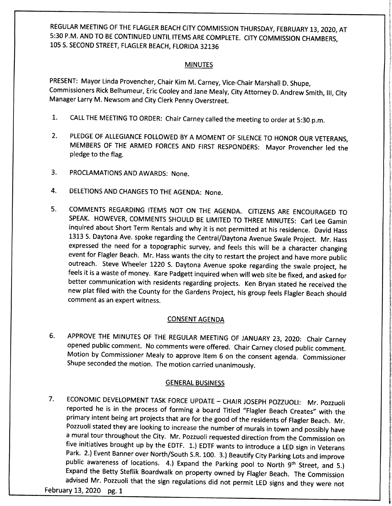REGULAR MEETING OF THE FLAGLER BEACH CITY COMMISSION THURSDAY, FEBRUARY 13, 2020, AT 5: 30 P. M. AND TO BE CONTINUED UNTIL ITEMS ARE COMPLETE. CITY COMMISSION CHAMBERS, 105 S. SECOND STREET, FLAGLER BEACH, FLORIDA 32136

# **MINUTES**

PRESENT: Mayor Linda Provencher, Chair Kim M. Carney, Vice -Chair Marshall D. Shupe, Commissioners Rick Belhumeur, Eric Cooley and Jane Mealy, City Attorney D. Andrew Smith, III, City Manager Larry M. Newsom and City Clerk Penny Overstreet.

- 1. CALL THE MEETING TO ORDER: Chair Carney called the meeting to order at 5: <sup>30</sup> p. m.
- 2. PLEDGE OF ALLEGIANCE FOLLOWED BY <sup>A</sup> MOMENT OF SILENCE TO HONOR OUR VETERANS, MEMBERS OF THE ARMED FORCES AND FIRST RESPONDERS: Mayor Provencher led the pledge to the flag.
- 3. PROCLAMATIONS AND AWARDS: None.
- 4. DELETIONS AND CHANGES TO THE AGENDA: None.
- 5. COMMENTS REGARDING ITEMS NOT ON THE AGENDA. CITIZENS ARE ENCOURAGED TO SPEAK. HOWEVER, COMMENTS SHOULD BE LIMITED TO THREE MINUTES: Carl Lee Gamin inquired about Short Term Rentals and why it is not permitted at his residence. David Hass 1313 S. Daytona Ave. spoke regarding the Central/ Daytona Avenue Swale Project. Mr. Hass expressed the need for <sup>a</sup> topographic survey, and feels this will be <sup>a</sup> character changing event for Flagler Beach. Mr. Hass wants the city to restart the project and have more public outreach. Steve Wheeler <sup>1220</sup> S. Daytona Avenue spoke regarding the swale project, he feels it is <sup>a</sup> waste of money. Kare Padgett inquired when will web site be fixed, and asked for better communication with residents regarding projects. Ken Bryan stated he received the new plat filed with the County for the Gardens Project, his group feels Flagler Beach should comment as an expert witness.

# CONSENT AGENDA

6. APPROVE THE MINUTES OF THE REGULAR MEETING OF JANUARY 23, 2020: Chair Carney opened public comment. No comments were offered. Chair Carney closed public comment. Motion by Commissioner Mealy to approve Item <sup>6</sup> on the consent agenda. Commissioner Shupe seconded the motion. The motion carried unanimously.

# GENERAL BUSINESS

7 ECONOMIC DEVELOPMENT TASK FORCE UPDATE — CHAIR JOSEPH POZZUOLI: Mr. Pozzuoli reported he is in the process of forming a board Titled "Flagler Beach Creates" with the primary intent being art projects that are for the good of the residents of Flagler Beach. Mr. Pozzuoli stated they are looking to increase the number of murals in town and possibly have <sup>a</sup> mural tour throughout the City. Mr. Pozzuoli requested direction from the Commission on five initiatives brought up by the EDTF. 1.) EDTF wants to introduce <sup>a</sup> LED sign in Veterans Park. 2.) Event Banner over North/South S.R. 100. 3.) Beautify City Parking Lots and improve public awareness of locations. 4.) Expand the Parking pool to North 9<sup>th</sup> Street, and 5.) Expand the Betty Steflik Boardwalk on property owned by Flagler Beach. The Commission advised Mr. Pozzuoli that the sign regulations did not permit LED signs and they were not

February 13, 2020 pg. 1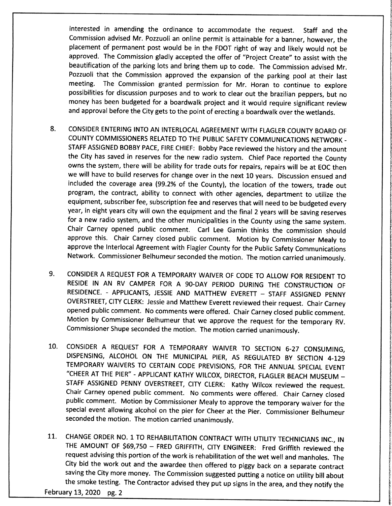interested in amending the ordinance to accommodate the request. Staff and the Commission advised Mr. Pozzuoli an online permit is attainable for <sup>a</sup> banner, however, the placement of permanent post would be in the FDOT right of way and likely would not be approved. The Commission gladly accepted the offer of "Project Create" to assist with the beautification of the parking lots and bring them up to code. The Commission advised Mr. Pozzuoli that the Commission approved the expansion of the parking pool at their last meeting. The Commission granted permission for Mr. Horan to continue to explore possibilities for discussion purposes and to work to clear out the brazilian peppers, but no money has been budgeted for <sup>a</sup> boardwalk project and it would require significant review and approval before the City gets to the point of erecting a boardwalk over the wetlands.

- 8. CONSIDER ENTERING INTO AN INTERLOCAL AGREEMENT WITH FLAGLER COUNTY BOARD OF COUNTY COMMISSIONERS RELATED TO THE PUBLIC SAFETY COMMUNICATIONS NETWORK - STAFF ASSIGNED BOBBY PACE, FIRE CHIEF: Bobby Pace reviewed the history and the amount the City has saved in reserves for the new radio system. Chief Pace reported the County owns the system, there will be ability for trade outs for repairs, repairs will be at EOC then we will have to build reserves for change over in the next 10 years. Discussion ensued and included the coverage area (99.2% of the County), the location of the towers, trade out program, the contract, ability to connect with other agencies, department to utilize the equipment, subscriber fee, subscription fee and reserves that will need to be budgeted every year, in eight years city will own the equipment and the final 2 years will be saving reserves for <sup>a</sup> new radio system, and the other municipalities in the County using the same system. Chair Carney opened public comment. Carl Lee Gamin thinks the commission should approve this. Chair Carney closed public comment. Motion by Commissioner Mealy to approve the Interlocal Agreement with Flagler County for the Public Safety Communications Network. Commissioner Belhumeur seconded the motion. The motion carried unanimously.
- 9. CONSIDER <sup>A</sup> REQUEST FOR A TEMPORARY WAIVER OF CODE TO ALLOW FOR RESIDENT TO RESIDE IN AN RV CAMPER FOR A 90-DAY PERIOD DURING THE CONSTRUCTION OF RESIDENCE. - APPLICANTS, JESSIE AND MATTHEW EVERETT — STAFF ASSIGNED PENNY OVERSTREET, CITY CLERK: Jessie and Matthew Everett reviewed their request. Chair Carney opened public comment. No comments were offered. Chair Carney closed public comment. Motion by Commissioner Belhumeur that we approve the request for the temporary RV. Commissioner Shupe seconded the motion. The motion carried unanimously.
- 10. CONSIDER A REQUEST FOR A TEMPORARY WAIVER TO SECTION 6-27 CONSUMING, DISPENSING, ALCOHOL ON THE MUNICIPAL PIER, AS REGULATED BY SECTION 4-129 TEMPORARY WAIVERS TO CERTAIN CODE PREVISIONS, FOR THE ANNUAL SPECIAL EVENT CHEER AT THE PIER" - APPLICANT KATHY WILCOX, DIRECTOR, FLAGLER BEACH MUSEUM — STAFF ASSIGNED PENNY OVERSTREET, CITY CLERK: Kathy Wilcox reviewed the request. Chair Carney opened public comment. No comments were offered. Chair Carney closed public comment. Motion by Commissioner Mealy to approve the temporary waiver for the special event allowing alcohol on the pier for Cheer at the Pier. Commissioner Belhumeur seconded the motion. The motion carried unanimously.
- 11. CHANGE ORDER NO. 1 TO REHABILITATION CONTRACT WITH UTILITY TECHNICIANS INC., IN THE AMOUNT OF \$69,750 - FRED GRIFFITH, CITY ENGINEER: Fred Griffith reviewed the request advising this portion of the work is rehabilitation of the wet well and manholes. The City bid the work out and the awardee then offered to piggy back on <sup>a</sup> separate contract saving the City more money. The Commission suggested putting <sup>a</sup> notice on utility bill about the smoke testing. The Contractor advised they put up signs in the area, and they notify the

February 13, 2020 pg. 2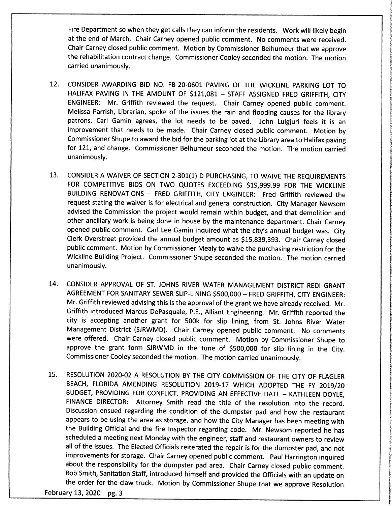Fire Department so when they get calls they can inform the residents. Work will likely begin at the end of March. Chair Carney opened public comment. No comments were received. Chair Carney closed public comment. Motion by Commissioner Belhumeur that we approve the rehabilitation contract change. Commissioner Cooley seconded the motion. The motion carried unanimously.

- 12. CONSIDER AWARDING BID NO. FB-20-0601 PAVING OF THE WICKLINE PARKING LOT TO HALIFAX PAVING IN THE AMOUNT OF \$121,081 - STAFF ASSIGNED FRED GRIFFITH, CITY ENGINEER: Mr. Griffith reviewed the request. Chair Carney opened public comment. Melissa Parrish, Librarian, spoke of the issues the rain and flooding causes for the library patrons. Carl Gamin agrees, the lot needs to be paved. John Lulgjuri feels it is an improvement that needs to be made. Chair Carney closed public comment. Motion by Commissioner Shupe to award the bid for the parking lot at the Library area to Halifax paving for 121, and change. Commissioner Belhumeur seconded the motion. The motion carried unanimously.
- 13. CONSIDER A WAIVER OF SECTION 2-301(1) D PURCHASING, TO WAIVE THE REQUIREMENTS FOR COMPETITIVE BIDS ON TWO QUOTES EXCEEDING \$19,999.99 FOR THE WICKLINE BUILDING RENOVATIONS — FRED GRIFFITH, CITY ENGINEER: Fred Griffith reviewed the request stating the waiver is for electrical and general construction. City Manager Newsom advised the Commission the project would remain within budget, and that demolition and other ancillary work is being done in house by the maintenance department. Chair Carney opened public comment. Carl Lee Gamin inquired what the city's annual budget was. City Clerk Overstreet provided the annual budget amount as \$15,839,393. Chair Carney closed public comment. Motion by Commissioner Mealy to waive the purchasing restriction for the Wickline Building Project. Commissioner Shupe seconded the motion. The motion carried unanimously.
- 14. CONSIDER APPROVAL OF ST. JOHNS RIVER WATER MANAGEMENT DISTRICT REDI GRANT AGREEMENT FOR SANITARY SEWER SLIP -LINING \$ 500, 000 — FRED GRIFFITH, CITY ENGINEER: Mr. Griffith reviewed advising this is the approval of the grant we have already received. Mr. Griffith introduced Marcus DePasquale, P.E., Alliant Engineering. Mr. Griffith reported the city is accepting another grant for 500k for slip lining, from St. Johns River Water Management District ( SJRWMD). Chair Carney opened public comment. No comments were offered. Chair Carney closed public comment. Motion by Commissioner Shupe to approve the grant form SJRWMD in the tune of \$500,000 for slip lining in the City. Commissioner Cooley seconded the motion. The motion carried unanimously.
- 15. RESOLUTION 2020-02 A RESOLUTION BY THE CITY COMMISSION OF THE CITY OF FLAGLER BEACH, FLORIDA AMENDING RESOLUTION 2019-17 WHICH ADOPTED THE FY 2019/20 BUDGET, PROVIDING FOR CONFLICT, PROVIDING AN EFFECTIVE DATE — KATHLEEN DOYLE, FINANCE DIRECTOR: Attorney Smith read the title of the resolution into the record. Discussion ensued regarding the condition of the dumpster pad and how the restaurant appears to be using the area as storage, and how the City Manager has been meeting with the Building Official and the fire Inspector regarding code. Mr. Newsom reported he has scheduled <sup>a</sup> meeting next Monday with the engineer, staff and restaurant owners to review all of the issues. The Elected Officials reiterated the repair is for the dumpster pad, and not improvements for storage. Chair Carney opened public comment. Paul Harrington inquired about the responsibility for the dumpster pad area. Chair Carney closed public comment. Rob Smith, Sanitation Staff, introduced himself and provided the Officials with an update on the order for the claw truck. Motion by Commissioner Shupe that we approve Resolution

February 13, 2020 pg. 3